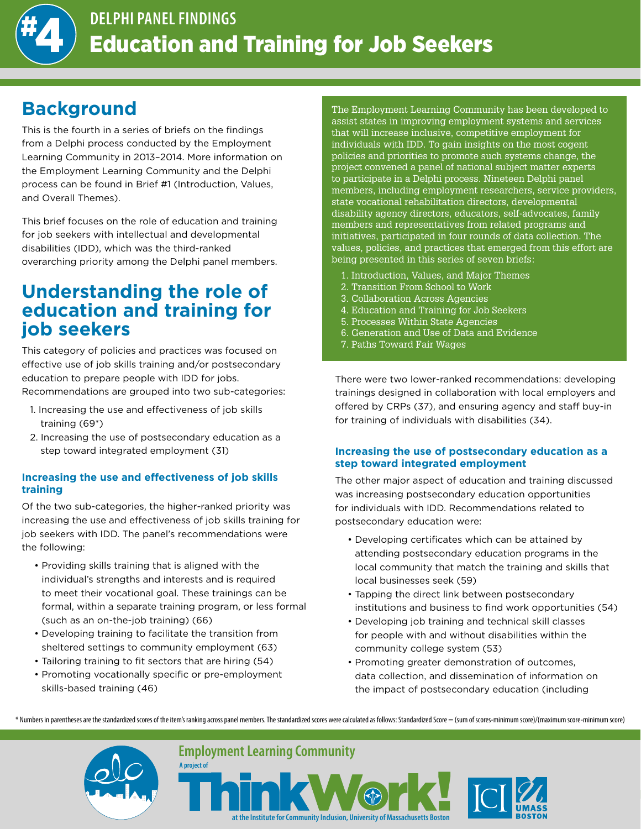

# **Background**

This is the fourth in a series of briefs on the findings from a Delphi process conducted by the Employment Learning Community in 2013–2014. More information on the Employment Learning Community and the Delphi process can be found in Brief #1 (Introduction, Values, and Overall Themes).

This brief focuses on the role of education and training for job seekers with intellectual and developmental disabilities (IDD), which was the third-ranked overarching priority among the Delphi panel members.

### **Understanding the role of education and training for job seekers**

This category of policies and practices was focused on effective use of job skills training and/or postsecondary education to prepare people with IDD for jobs. Recommendations are grouped into two sub-categories:

- 1. Increasing the use and effectiveness of job skills training (69\*)
- 2. Increasing the use of postsecondary education as a step toward integrated employment (31)

#### **Increasing the use and effectiveness of job skills training**

Of the two sub-categories, the higher-ranked priority was increasing the use and effectiveness of job skills training for job seekers with IDD. The panel's recommendations were the following:

- Providing skills training that is aligned with the individual's strengths and interests and is required to meet their vocational goal. These trainings can be formal, within a separate training program, or less formal (such as an on-the-job training) (66)
- Developing training to facilitate the transition from sheltered settings to community employment (63)
- Tailoring training to fit sectors that are hiring (54)
- Promoting vocationally specific or pre-employment skills-based training (46)

**A project of**

The Employment Learning Community has been developed to assist states in improving employment systems and services that will increase inclusive, competitive employment for individuals with IDD. To gain insights on the most cogent policies and priorities to promote such systems change, the project convened a panel of national subject matter experts to participate in a Delphi process. Nineteen Delphi panel members, including employment researchers, service providers, state vocational rehabilitation directors, developmental disability agency directors, educators, self-advocates, family members and representatives from related programs and initiatives, participated in four rounds of data collection. The values, policies, and practices that emerged from this effort are being presented in this series of seven briefs:

- 1. Introduction, Values, and Major Themes
- 2. Transition From School to Work
- 3. Collaboration Across Agencies
- 4. Education and Training for Job Seekers
- 5. Processes Within State Agencies
- 6. Generation and Use of Data and Evidence
- 7. Paths Toward Fair Wages

There were two lower-ranked recommendations: developing trainings designed in collaboration with local employers and offered by CRPs (37), and ensuring agency and staff buy-in for training of individuals with disabilities (34).

### **Increasing the use of postsecondary education as a step toward integrated employment**

The other major aspect of education and training discussed was increasing postsecondary education opportunities for individuals with IDD. Recommendations related to postsecondary education were:

- Developing certificates which can be attained by attending postsecondary education programs in the local community that match the training and skills that local businesses seek (59)
- Tapping the direct link between postsecondary institutions and business to find work opportunities (54)
- Developing job training and technical skill classes for people with and without disabilities within the community college system (53)
- Promoting greater demonstration of outcomes, data collection, and dissemination of information on the impact of postsecondary education (including

\* Numbers in parentheses are the standardized scores of the item's ranking across panel members. The standardized scores were calculated as follows: Standardized Score = (sum of scores-minimum score)/(maximum score-minimum



**Employment Learning Community**